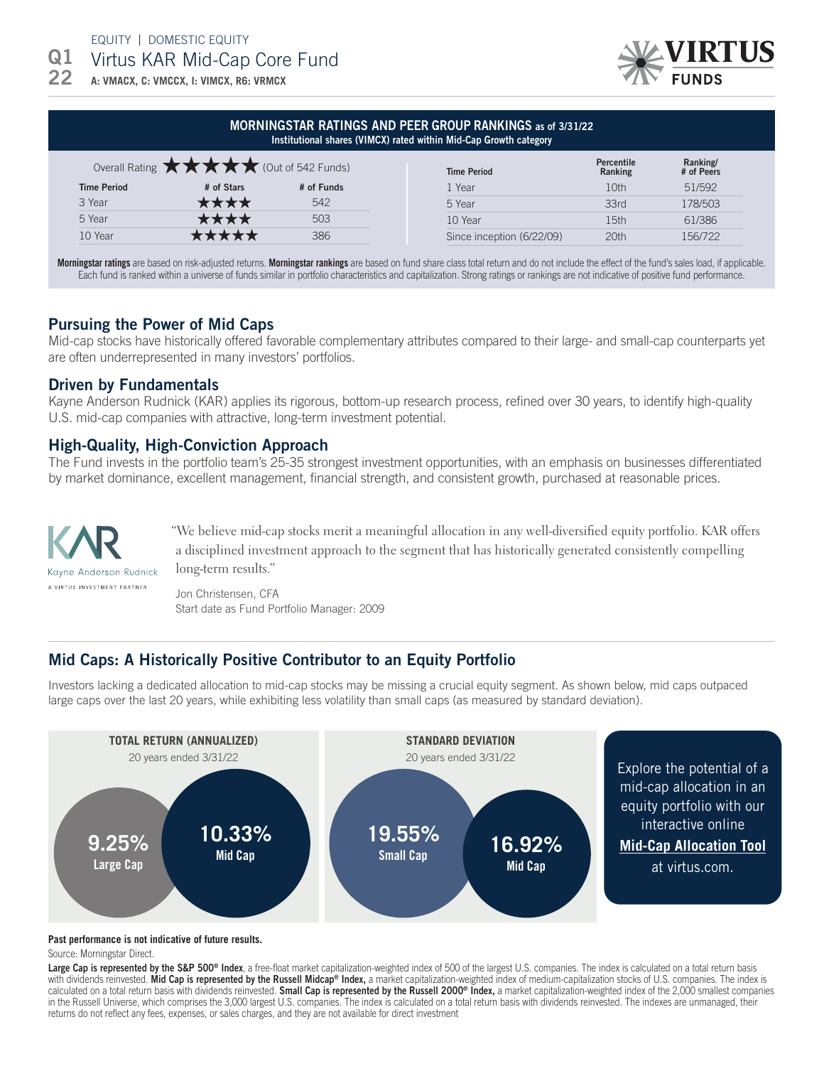EQUITY | DOMESTIC EQUITY

Q1 Virtus KAR Mid-Cap Core Fund

**A: VMACX, C: VMCCX, I: VIMCX, R6: VRMCX** 22



### MORNINGSTAR RATINGS AND PEER GROUP RANKINGS as of 3/31/22 Institutional shares (VIMCX) rated within Mid-Cap Growth category

|                    | Overall Rating $\star\star\star\star$ (Out of 542 Funds) |            | <b>Time Period</b>        | <b>Percentile</b><br>Ranking | Ranking/<br># of Peers |
|--------------------|----------------------------------------------------------|------------|---------------------------|------------------------------|------------------------|
| <b>Time Period</b> | # of Stars                                               | # of Funds | <b>Year</b>               | 10th                         | 51/592                 |
| 3 Year             | ₹★★★                                                     | 542        | 5 Year                    | 33rd                         | 178/503                |
| 5 Year             |                                                          | 503        | 10 Year                   | 15th                         | 61/386                 |
| 10 Year            |                                                          | 386        | Since inception (6/22/09) | 20th                         | 156/722                |

**Morningstar ratings** are based on risk-adjusted returns. **Morningstar rankings** are based on fund share class total return and do not include the effect of the fund's sales load, if applicable. Each fund is ranked within a universe of funds similar in portfolio characteristics and capitalization. Strong ratings or rankings are not indicative of positive fund performance.

# Pursuing the Power of Mid Caps

Mid-cap stocks have historically offered favorable complementary attributes compared to their large- and small-cap counterparts yet are often underrepresented in many investors' portfolios.

## Driven by Fundamentals

Kayne Anderson Rudnick (KAR) applies its rigorous, bottom-up research process, refined over 30 years, to identify high-quality U.S. mid-cap companies with attractive, long-term investment potential.

## High-Quality, High-Conviction Approach

The Fund invests in the portfolio team's 25-35 strongest investment opportunities, with an emphasis on businesses differentiated by market dominance, excellent management, financial strength, and consistent growth, purchased at reasonable prices.



"We believe mid-cap stocks merit a meaningful allocation in any well-diversified equity portfolio. KAR offers a disciplined investment approach to the segment that has historically generated consistently compelling long-term results."

Jon Christensen, CFA Start date as Fund Portfolio Manager: 2009

# Mid Caps: A Historically Positive Contributor to an Equity Portfolio

Investors lacking a dedicated allocation to mid-cap stocks may be missing a crucial equity segment. As shown below, mid caps outpaced large caps over the last 20 years, while exhibiting less volatility than small caps (as measured by standard deviation).



#### **Past performance is not indicative of future results.**

Source: Morningstar Direct.

**Large Cap is represented by the S&P 500® Index**, a free-float market capitalization-weighted index of 500 of the largest U.S. companies. The index is calculated on a total return basis with dividends reinvested. **Mid Cap is represented by the Russell Midcap® Index,** a market capitalization-weighted index of medium-capitalization stocks of U.S. companies. The index is calculated on a total return basis with dividends reinvested. Small Cap is represented by the Russell 2000® Index, a market capitalization-weighted index of the 2,000 smallest companies in the Russell Universe, which comprises the 3,000 largest U.S. companies. The index is calculated on a total return basis with dividends reinvested. The indexes are unmanaged, their returns do not reflect any fees, expenses, or sales charges, and they are not available for direct investment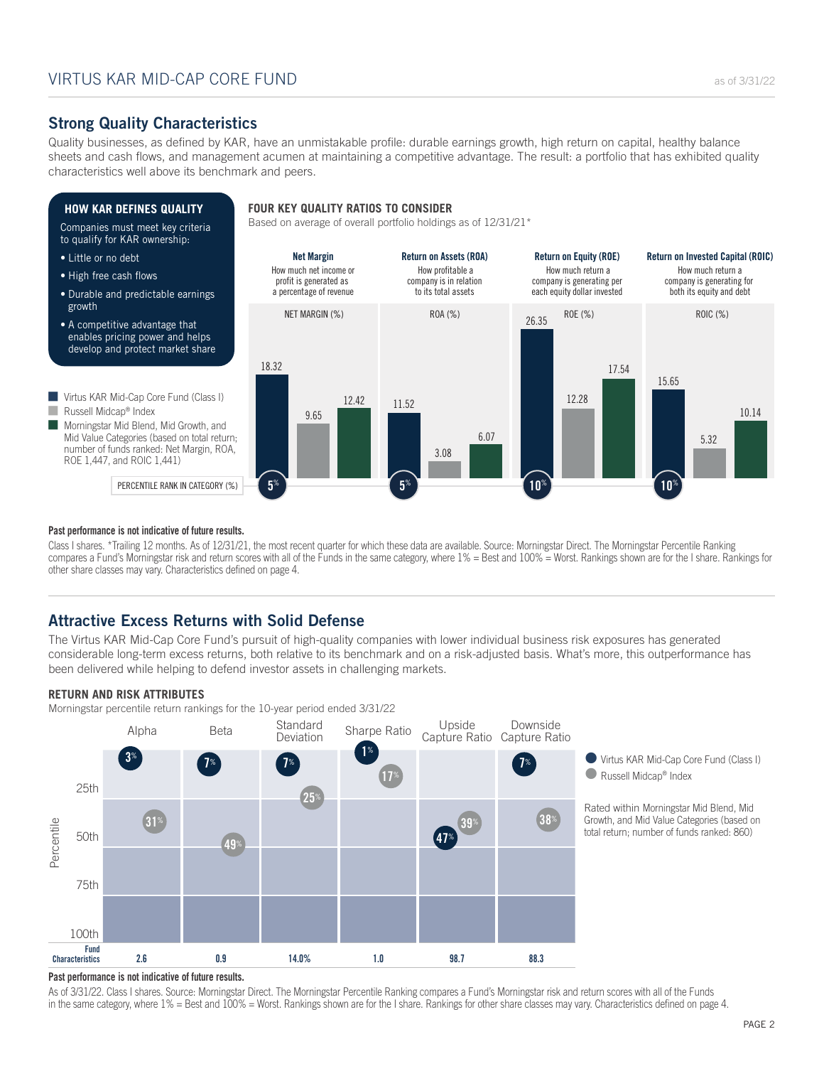Quality businesses, as defined by KAR, have an unmistakable profile: durable earnings growth, high return on capital, healthy balance sheets and cash flows, and management acumen at maintaining a competitive advantage. The result: a portfolio that has exhibited quality characteristics well above its benchmark and peers.



Class I shares. \*Trailing 12 months. As of 12/31/21, the most recent quarter for which these data are available. Source: Morningstar Direct. The Morningstar Percentile Ranking compares a Fund's Morningstar risk and return scores with all of the Funds in the same category, where 1% = Best and 100% = Worst. Rankings shown are for the I share. Rankings for other share classes may vary. Characteristics defined on page 4.

# **Attractive Excess Returns with Solid Defense**

The Virtus KAR Mid-Cap Core Fund's pursuit of high-quality companies with lower individual business risk exposures has generated considerable long-term excess returns, both relative to its benchmark and on a risk-adjusted basis. What's more, this outperformance has been delivered while helping to defend investor assets in challenging markets.

### **RETURN AND RISK ATTRIBUTES**

Morningstar percentile return rankings for the 10-year period ended 3/31/22



Virtus KAR Mid-Cap Core Fund (Class I) ● Russell Midcap<sup>®</sup> Index

Rated within Morningstar Mid Blend, Mid Growth, and Mid Value Categories (based on total return; number of funds ranked: 860)

### **Past performance is not indicative of future results.**

As of 3/31/22. Class I shares. Source: Morningstar Direct. The Morningstar Percentile Ranking compares a Fund's Morningstar risk and return scores with all of the Funds in the same category, where 1% = Best and 100% = Worst. Rankings shown are for the I share. Rankings for other share classes may vary. Characteristics defined on page 4.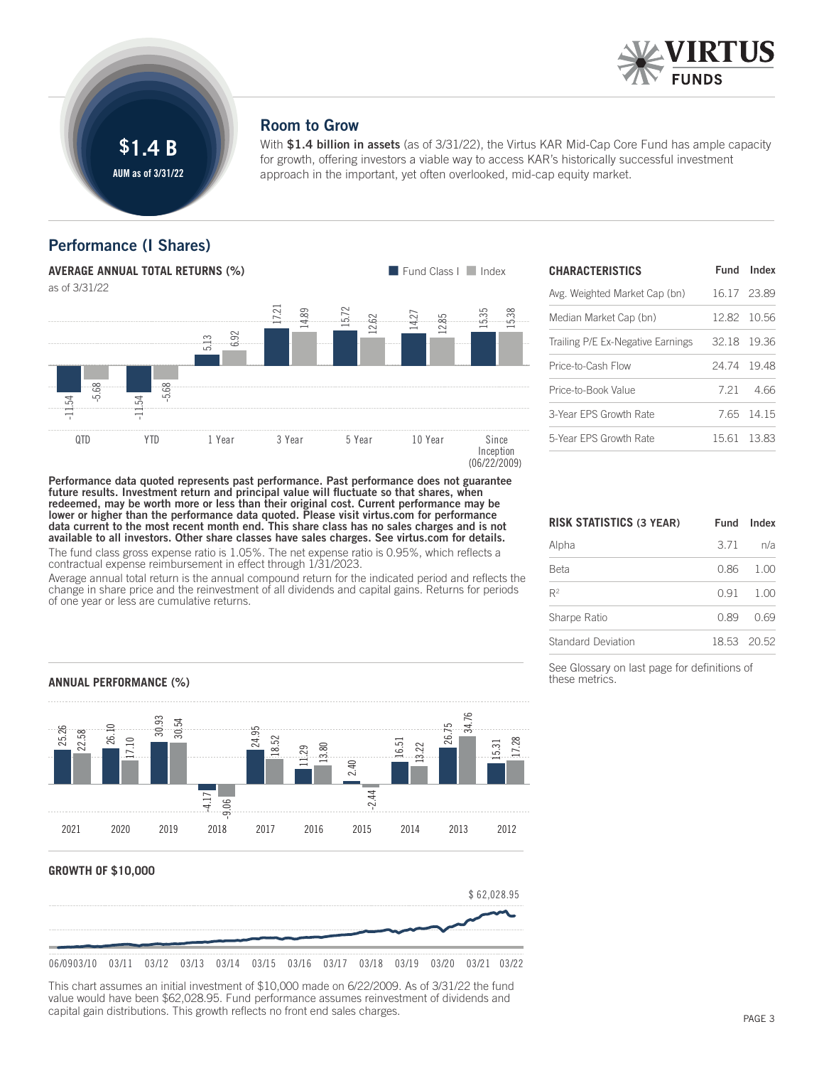

### **Room to Grow**

With **\$1.4 billion in assets** (as of 3/31/22), the Virtus KAR Mid-Cap Core Fund has ample capacity for growth, offering investors a viable way to access KAR's historically successful investment approach in the important, yet often overlooked, mid-cap equity market.

# **Performance** (I Shares)



| <b>CHARACTERISTICS</b>            |             | Fund Index  |
|-----------------------------------|-------------|-------------|
| Avg. Weighted Market Cap (bn)     | 16.17 23.89 |             |
| Median Market Cap (bn)            |             | 12.82 10.56 |
| Trailing P/E Ex-Negative Earnings | 32.18 19.36 |             |
| Price-to-Cash Flow                | 24.74 19.48 |             |
| Price-to-Book Value               |             | 721 466     |
| 3-Year EPS Growth Rate            |             | 765 1415    |
| 5-Year EPS Growth Rate            |             | 15.61 13.83 |

future results. Investment return and principal value will fluctuate so that shares, when redeemed, may be worth more or less than their original cost. Current performance may be lower or higher than the performance data quoted. Please visit virtus.com for performance data current to the most recent month end. This share class has no sales charges and is not available to all investors. Other share classes have sales charges. See virtus.com for details. The fund class gross expense ratio is 1.05%. The net expense ratio is 0.95%, which reflects a contractual expense reimbursement in effect through 1/31/2023.

Performance data quoted represents past performance. Past performance does not guarantee

Average annual total return is the annual compound return for the indicated period and reflects the change in share price and the reinvestment of all dividends and capital gains. Returns for periods of one year or less are cumulative returns.

| RISK STATISTICS (3 YEAR) |      | Fund Index  |
|--------------------------|------|-------------|
| Alpha                    | 3.71 | n/a         |
| Beta                     |      | $0.86$ 1.00 |
| R <sup>2</sup>           | 0.91 | 1.00        |
| Sharpe Ratio             | 0.89 | 0.69        |
| Standard Deviation       |      | 18.53 20.52 |

See Glossary on last page for definitions of these metrics.

**ANNUAL PERFORMANCE (%)**





This chart assumes an initial investment of \$10,000 made on 6/22/2009. As of 3/31/22 the fund value would have been \$62,028.95. Fund performance assumes reinvestment of dividends and capital gain distributions. This growth reflects no front end sales charges.